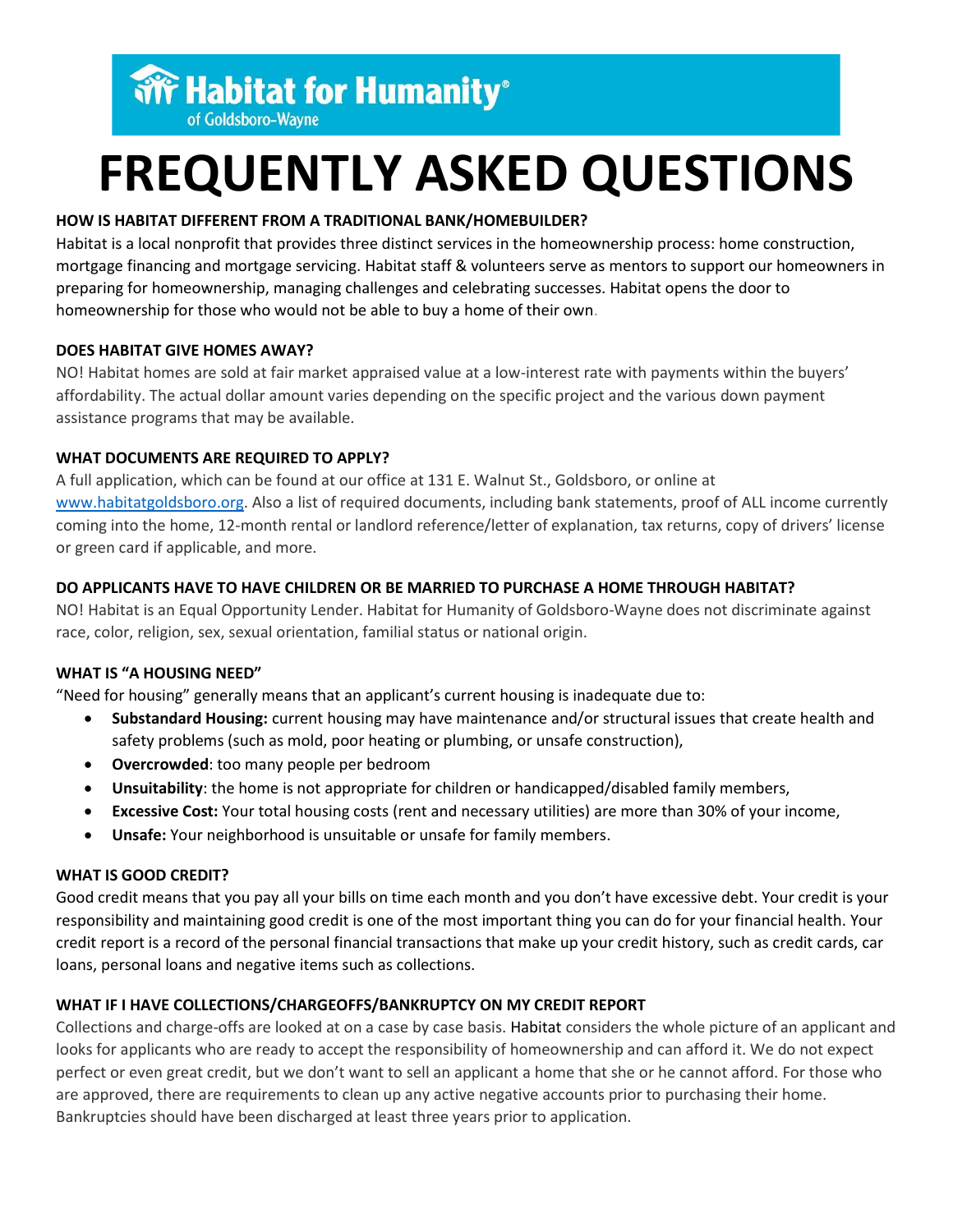**WF Habitat for Humanity®** 

# of Goldsboro-Wayne

# **FREQUENTLY ASKED QUESTIONS**

# **HOW IS HABITAT DIFFERENT FROM A TRADITIONAL BANK/HOMEBUILDER?**

Habitat is a local nonprofit that provides three distinct services in the homeownership process: home construction, mortgage financing and mortgage servicing. Habitat staff & volunteers serve as mentors to support our homeowners in preparing for homeownership, managing challenges and celebrating successes. Habitat opens the door to homeownership for those who would not be able to buy a home of their own.

# **DOES HABITAT GIVE HOMES AWAY?**

NO! Habitat homes are sold at fair market appraised value at a low-interest rate with payments within the buyers' affordability. The actual dollar amount varies depending on the specific project and the various down payment assistance programs that may be available.

# **WHAT DOCUMENTS ARE REQUIRED TO APPLY?**

A full application, which can be found at our office at 131 E. Walnut St., Goldsboro, or online at [www.habitatgoldsboro.org.](http://www.habitatgoldsboro.org/) Also a list of required documents, including bank statements, proof of ALL income currently coming into the home, 12-month rental or landlord reference/letter of explanation, tax returns, copy of drivers' license or green card if applicable, and more.

# **DO APPLICANTS HAVE TO HAVE CHILDREN OR BE MARRIED TO PURCHASE A HOME THROUGH HABITAT?**

NO! Habitat is an Equal Opportunity Lender. Habitat for Humanity of Goldsboro-Wayne does not discriminate against race, color, religion, sex, sexual orientation, familial status or national origin.

# **WHAT IS "A HOUSING NEED"**

"Need for housing" generally means that an applicant's current housing is inadequate due to:

- **Substandard Housing:** current housing may have maintenance and/or structural issues that create health and safety problems (such as mold, poor heating or plumbing, or unsafe construction),
- **Overcrowded**: too many people per bedroom
- **Unsuitability**: the home is not appropriate for children or handicapped/disabled family members,
- **Excessive Cost:** Your total housing costs (rent and necessary utilities) are more than 30% of your income,
- **Unsafe:** Your neighborhood is unsuitable or unsafe for family members.

# **WHAT IS GOOD CREDIT?**

Good credit means that you pay all your bills on time each month and you don't have excessive debt. Your credit is your responsibility and maintaining good credit is one of the most important thing you can do for your financial health. Your credit report is a record of the personal financial transactions that make up your credit history, such as credit cards, car loans, personal loans and negative items such as collections.

# **WHAT IF I HAVE COLLECTIONS/CHARGEOFFS/BANKRUPTCY ON MY CREDIT REPORT**

Collections and charge-offs are looked at on a case by case basis. Habitat considers the whole picture of an applicant and looks for applicants who are ready to accept the responsibility of homeownership and can afford it. We do not expect perfect or even great credit, but we don't want to sell an applicant a home that she or he cannot afford. For those who are approved, there are requirements to clean up any active negative accounts prior to purchasing their home. Bankruptcies should have been discharged at least three years prior to application.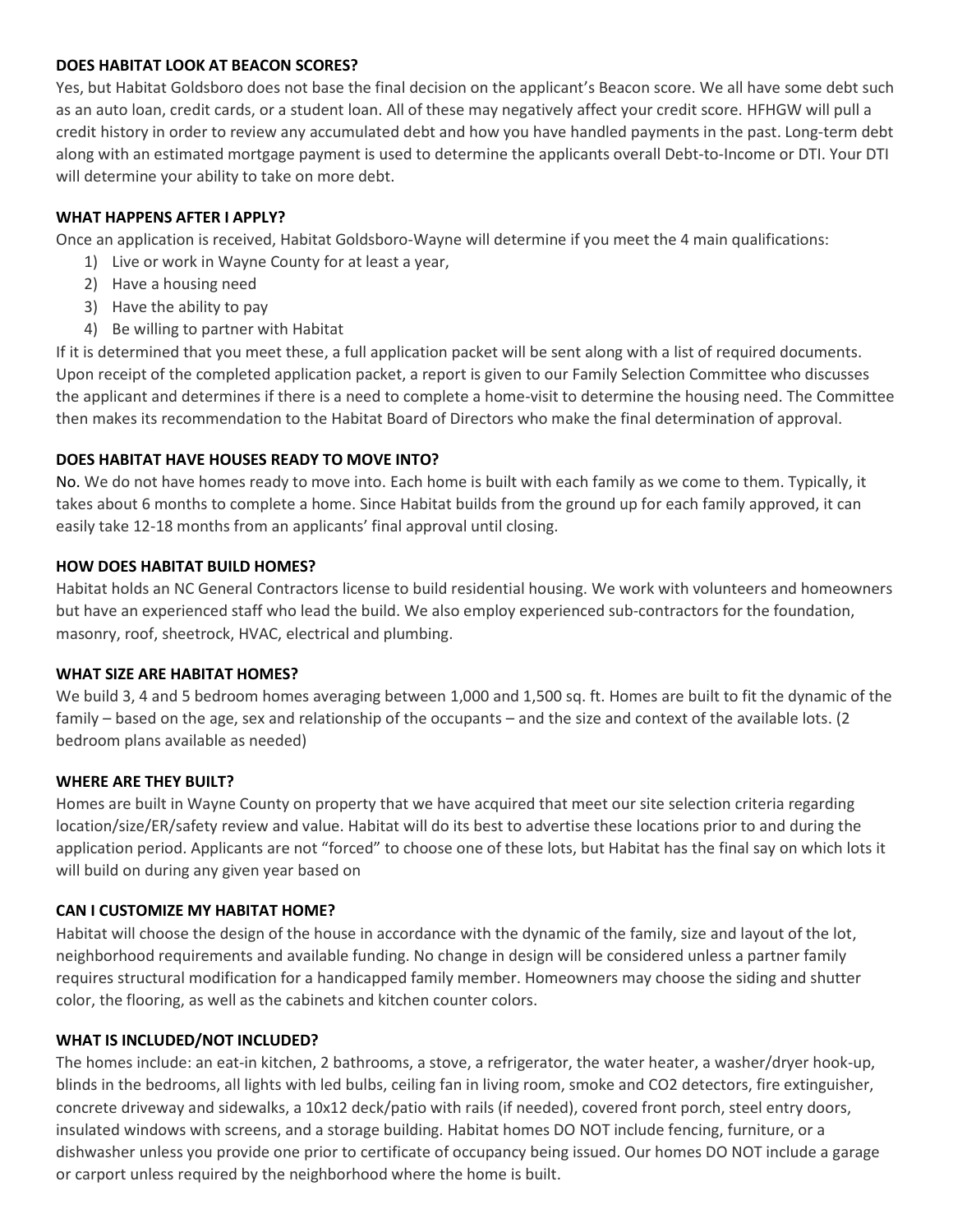#### **DOES HABITAT LOOK AT BEACON SCORES?**

Yes, but Habitat Goldsboro does not base the final decision on the applicant's Beacon score. We all have some debt such as an auto loan, credit cards, or a student loan. All of these may negatively affect your credit score. HFHGW will pull a credit history in order to review any accumulated debt and how you have handled payments in the past. Long-term debt along with an estimated mortgage payment is used to determine the applicants overall Debt-to-Income or DTI. Your DTI will determine your ability to take on more debt.

#### **WHAT HAPPENS AFTER I APPLY?**

Once an application is received, Habitat Goldsboro-Wayne will determine if you meet the 4 main qualifications:

- 1) Live or work in Wayne County for at least a year,
- 2) Have a housing need
- 3) Have the ability to pay
- 4) Be willing to partner with Habitat

If it is determined that you meet these, a full application packet will be sent along with a list of required documents. Upon receipt of the completed application packet, a report is given to our Family Selection Committee who discusses the applicant and determines if there is a need to complete a home-visit to determine the housing need. The Committee then makes its recommendation to the Habitat Board of Directors who make the final determination of approval.

#### **DOES HABITAT HAVE HOUSES READY TO MOVE INTO?**

No. We do not have homes ready to move into. Each home is built with each family as we come to them. Typically, it takes about 6 months to complete a home. Since Habitat builds from the ground up for each family approved, it can easily take 12-18 months from an applicants' final approval until closing.

#### **HOW DOES HABITAT BUILD HOMES?**

Habitat holds an NC General Contractors license to build residential housing. We work with volunteers and homeowners but have an experienced staff who lead the build. We also employ experienced sub-contractors for the foundation, masonry, roof, sheetrock, HVAC, electrical and plumbing.

#### **WHAT SIZE ARE HABITAT HOMES?**

We build 3, 4 and 5 bedroom homes averaging between 1,000 and 1,500 sq. ft. Homes are built to fit the dynamic of the family – based on the age, sex and relationship of the occupants – and the size and context of the available lots. (2 bedroom plans available as needed)

#### **WHERE ARE THEY BUILT?**

Homes are built in Wayne County on property that we have acquired that meet our site selection criteria regarding location/size/ER/safety review and value. Habitat will do its best to advertise these locations prior to and during the application period. Applicants are not "forced" to choose one of these lots, but Habitat has the final say on which lots it will build on during any given year based on

#### **CAN I CUSTOMIZE MY HABITAT HOME?**

Habitat will choose the design of the house in accordance with the dynamic of the family, size and layout of the lot, neighborhood requirements and available funding. No change in design will be considered unless a partner family requires structural modification for a handicapped family member. Homeowners may choose the siding and shutter color, the flooring, as well as the cabinets and kitchen counter colors.

#### **WHAT IS INCLUDED/NOT INCLUDED?**

The homes include: an eat-in kitchen, 2 bathrooms, a stove, a refrigerator, the water heater, a washer/dryer hook-up, blinds in the bedrooms, all lights with led bulbs, ceiling fan in living room, smoke and CO2 detectors, fire extinguisher, concrete driveway and sidewalks, a 10x12 deck/patio with rails (if needed), covered front porch, steel entry doors, insulated windows with screens, and a storage building. Habitat homes DO NOT include fencing, furniture, or a dishwasher unless you provide one prior to certificate of occupancy being issued. Our homes DO NOT include a garage or carport unless required by the neighborhood where the home is built.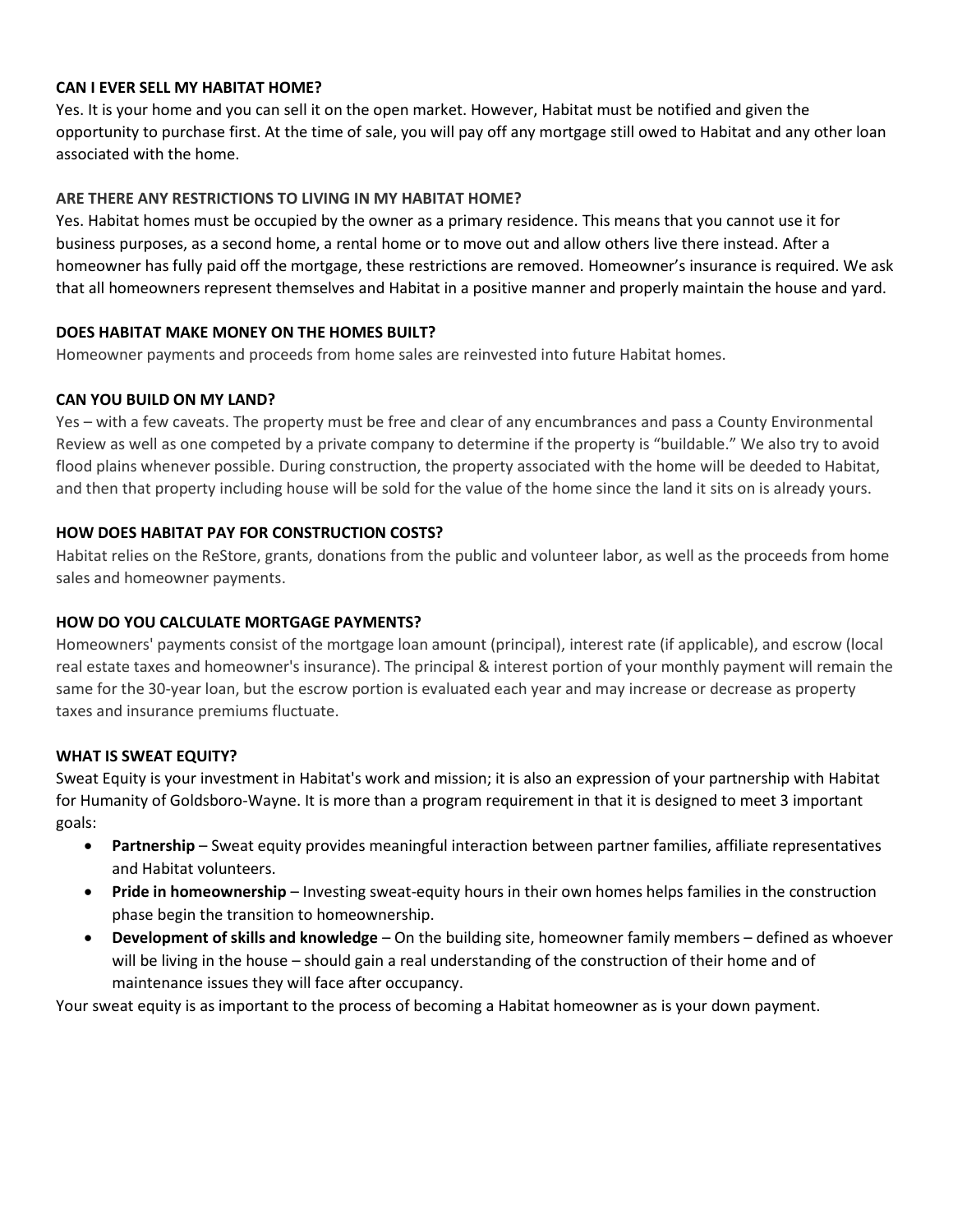#### **CAN I EVER SELL MY HABITAT HOME?**

Yes. It is your home and you can sell it on the open market. However, Habitat must be notified and given the opportunity to purchase first. At the time of sale, you will pay off any mortgage still owed to Habitat and any other loan associated with the home.

#### **ARE THERE ANY RESTRICTIONS TO LIVING IN MY HABITAT HOME?**

Yes. Habitat homes must be occupied by the owner as a primary residence. This means that you cannot use it for business purposes, as a second home, a rental home or to move out and allow others live there instead. After a homeowner has fully paid off the mortgage, these restrictions are removed. Homeowner's insurance is required. We ask that all homeowners represent themselves and Habitat in a positive manner and properly maintain the house and yard.

#### **DOES HABITAT MAKE MONEY ON THE HOMES BUILT?**

Homeowner payments and proceeds from home sales are reinvested into future Habitat homes.

#### **CAN YOU BUILD ON MY LAND?**

Yes – with a few caveats. The property must be free and clear of any encumbrances and pass a County Environmental Review as well as one competed by a private company to determine if the property is "buildable." We also try to avoid flood plains whenever possible. During construction, the property associated with the home will be deeded to Habitat, and then that property including house will be sold for the value of the home since the land it sits on is already yours.

#### **HOW DOES HABITAT PAY FOR CONSTRUCTION COSTS?**

Habitat relies on the ReStore, grants, donations from the public and volunteer labor, as well as the proceeds from home sales and homeowner payments.

## **HOW DO YOU CALCULATE MORTGAGE PAYMENTS?**

Homeowners' payments consist of the mortgage loan amount (principal), interest rate (if applicable), and escrow (local real estate taxes and homeowner's insurance). The principal & interest portion of your monthly payment will remain the same for the 30-year loan, but the escrow portion is evaluated each year and may increase or decrease as property taxes and insurance premiums fluctuate.

# **WHAT IS SWEAT EQUITY?**

Sweat Equity is your investment in Habitat's work and mission; it is also an expression of your partnership with Habitat for Humanity of Goldsboro-Wayne. It is more than a program requirement in that it is designed to meet 3 important goals:

- **Partnership** Sweat equity provides meaningful interaction between partner families, affiliate representatives and Habitat volunteers.
- **Pride in homeownership** Investing sweat-equity hours in their own homes helps families in the construction phase begin the transition to homeownership.
- **Development of skills and knowledge** On the building site, homeowner family members defined as whoever will be living in the house – should gain a real understanding of the construction of their home and of maintenance issues they will face after occupancy.

Your sweat equity is as important to the process of becoming a Habitat homeowner as is your down payment.